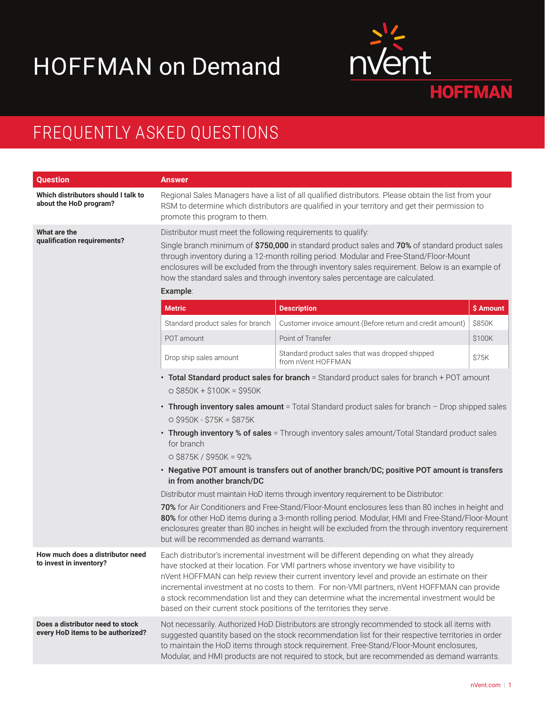## HOFFMAN on Demand



## FREQUENTLY ASKED QUESTIONS

| <b>Question</b>                                                       | <b>Answer</b>                                                                                                                                                                                                                                                                                                                                                                                                                                                                                                                                                                                                                                                                                                                          |                                                                       |           |  |
|-----------------------------------------------------------------------|----------------------------------------------------------------------------------------------------------------------------------------------------------------------------------------------------------------------------------------------------------------------------------------------------------------------------------------------------------------------------------------------------------------------------------------------------------------------------------------------------------------------------------------------------------------------------------------------------------------------------------------------------------------------------------------------------------------------------------------|-----------------------------------------------------------------------|-----------|--|
| Which distributors should I talk to<br>about the HoD program?         | Regional Sales Managers have a list of all qualified distributors. Please obtain the list from your<br>RSM to determine which distributors are qualified in your territory and get their permission to<br>promote this program to them.                                                                                                                                                                                                                                                                                                                                                                                                                                                                                                |                                                                       |           |  |
| What are the<br>qualification requirements?                           | Distributor must meet the following requirements to qualify:                                                                                                                                                                                                                                                                                                                                                                                                                                                                                                                                                                                                                                                                           |                                                                       |           |  |
|                                                                       | Single branch minimum of \$750,000 in standard product sales and 70% of standard product sales<br>through inventory during a 12-month rolling period. Modular and Free-Stand/Floor-Mount<br>enclosures will be excluded from the through inventory sales requirement. Below is an example of<br>how the standard sales and through inventory sales percentage are calculated.                                                                                                                                                                                                                                                                                                                                                          |                                                                       |           |  |
|                                                                       | Example:                                                                                                                                                                                                                                                                                                                                                                                                                                                                                                                                                                                                                                                                                                                               |                                                                       |           |  |
|                                                                       | <b>Metric</b>                                                                                                                                                                                                                                                                                                                                                                                                                                                                                                                                                                                                                                                                                                                          | <b>Description</b>                                                    | \$ Amount |  |
|                                                                       | Standard product sales for branch                                                                                                                                                                                                                                                                                                                                                                                                                                                                                                                                                                                                                                                                                                      | Customer invoice amount (Before return and credit amount)             | \$850K    |  |
|                                                                       | POT amount                                                                                                                                                                                                                                                                                                                                                                                                                                                                                                                                                                                                                                                                                                                             | Point of Transfer                                                     | \$100K    |  |
|                                                                       | Drop ship sales amount                                                                                                                                                                                                                                                                                                                                                                                                                                                                                                                                                                                                                                                                                                                 | Standard product sales that was dropped shipped<br>from nVent HOFFMAN | \$75K     |  |
|                                                                       | • Total Standard product sales for branch = Standard product sales for branch + POT amount<br>$\circ$ \$850K + \$100K = \$950K<br>• Through inventory sales amount = Total Standard product sales for branch - Drop shipped sales<br>$O $950K - $75K = $875K$<br>• Through inventory % of sales = Through inventory sales amount/Total Standard product sales<br>for branch<br>$\circ$ \$875K / \$950K = 92%<br>• Negative POT amount is transfers out of another branch/DC; positive POT amount is transfers<br>in from another branch/DC<br>Distributor must maintain HoD items through inventory requirement to be Distributor:<br>70% for Air Conditioners and Free-Stand/Floor-Mount enclosures less than 80 inches in height and |                                                                       |           |  |
|                                                                       | 80% for other HoD items during a 3-month rolling period. Modular, HMI and Free-Stand/Floor-Mount<br>enclosures greater than 80 inches in height will be excluded from the through inventory requirement<br>but will be recommended as demand warrants.                                                                                                                                                                                                                                                                                                                                                                                                                                                                                 |                                                                       |           |  |
| How much does a distributor need<br>to invest in inventory?           | Each distributor's incremental investment will be different depending on what they already<br>have stocked at their location. For VMI partners whose inventory we have visibility to<br>nVent HOFFMAN can help review their current inventory level and provide an estimate on their<br>incremental investment at no costs to them. For non-VMI partners, nVent HOFFMAN can provide<br>a stock recommendation list and they can determine what the incremental investment would be<br>based on their current stock positions of the territories they serve.                                                                                                                                                                            |                                                                       |           |  |
| Does a distributor need to stock<br>every HoD items to be authorized? | Not necessarily. Authorized HoD Distributors are strongly recommended to stock all items with<br>suggested quantity based on the stock recommendation list for their respective territories in order<br>to maintain the HoD items through stock requirement. Free-Stand/Floor-Mount enclosures,<br>Modular, and HMI products are not required to stock, but are recommended as demand warrants.                                                                                                                                                                                                                                                                                                                                        |                                                                       |           |  |